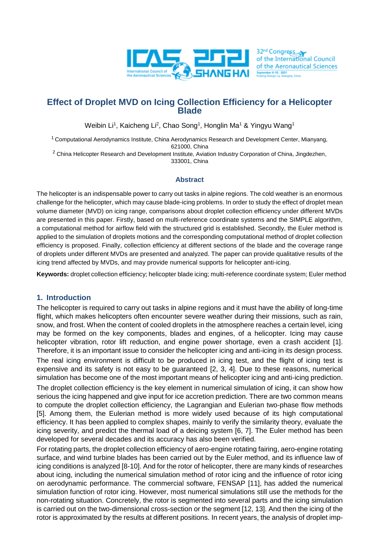

Weibin Li<sup>1</sup>, Kaicheng Li<sup>2</sup>, Chao Song<sup>1</sup>, Honglin Ma<sup>1</sup> & Yingyu Wang<sup>1</sup>

<sup>1</sup> Computational Aerodynamics Institute, China Aerodynamics Research and Development Center, Mianyang, 621000, China

<sup>2</sup> China Helicopter Research and Development Institute, Aviation Industry Corporation of China, Jingdezhen, 333001, China

#### **Abstract**

The helicopter is an indispensable power to carry out tasks in alpine regions. The cold weather is an enormous challenge for the helicopter, which may cause blade-icing problems. In order to study the effect of droplet mean volume diameter (MVD) on icing range, comparisons about droplet collection efficiency under different MVDs are presented in this paper. Firstly, based on multi-reference coordinate systems and the SIMPLE algorithm, a computational method for airflow field with the structured grid is established. Secondly, the Euler method is applied to the simulation of droplets motions and the corresponding computational method of droplet collection efficiency is proposed. Finally, collection efficiency at different sections of the blade and the coverage range of droplets under different MVDs are presented and analyzed. The paper can provide qualitative results of the icing trend affected by MVDs, and may provide numerical supports for helicopter anti-icing.

**Keywords:** droplet collection efficiency; helicopter blade icing; multi-reference coordinate system; Euler method

### **1. Introduction**

The helicopter is required to carry out tasks in alpine regions and it must have the ability of long-time flight, which makes helicopters often encounter severe weather during their missions, such as rain, snow, and frost. When the content of cooled droplets in the atmosphere reaches a certain level, icing may be formed on the key components, blades and engines, of a helicopter. Icing may cause helicopter vibration, rotor lift reduction, and engine power shortage, even a crash accident [1]. Therefore, it is an important issue to consider the helicopter icing and anti-icing in its design process.

The real icing environment is difficult to be produced in icing test, and the flight of icing test is expensive and its safety is not easy to be guaranteed [2, 3, 4]. Due to these reasons, numerical simulation has become one of the most important means of helicopter icing and anti-icing prediction.

The droplet collection efficiency is the key element in numerical simulation of icing, it can show how serious the icing happened and give input for ice accretion prediction. There are two common means to compute the droplet collection efficiency, the Lagrangian and Eulerian two-phase flow methods [5]. Among them, the Eulerian method is more widely used because of its high computational efficiency. It has been applied to complex shapes, mainly to verify the similarity theory, evaluate the icing severity, and predict the thermal load of a deicing system [6, 7]. The Euler method has been developed for several decades and its accuracy has also been verified.

For rotating parts, the droplet collection efficiency of aero-engine rotating fairing, aero-engine rotating surface, and wind turbine blades has been carried out by the Euler method, and its influence law of icing conditions is analyzed [8-10]. And for the rotor of helicopter, there are many kinds of researches about icing, including the numerical simulation method of rotor icing and the influence of rotor icing on aerodynamic performance. The commercial software, FENSAP [11], has added the numerical simulation function of rotor icing. However, most numerical simulations still use the methods for the non-rotating situation. Concretely, the rotor is segmented into several parts and the icing simulation is carried out on the two-dimensional cross-section or the segment [12, 13]. And then the icing of the rotor is approximated by the results at different positions. In recent years, the analysis of droplet imp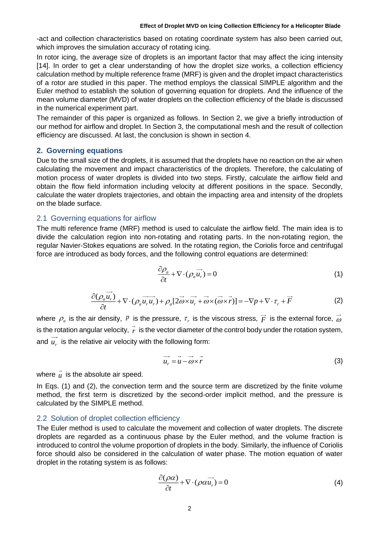-act and collection characteristics based on rotating coordinate system has also been carried out, which improves the simulation accuracy of rotating icing.

In rotor icing, the average size of droplets is an important factor that may affect the icing intensity [14]. In order to get a clear understanding of how the droplet size works, a collection efficiency calculation method by multiple reference frame (MRF) is given and the droplet impact characteristics of a rotor are studied in this paper. The method employs the classical SIMPLE algorithm and the Euler method to establish the solution of governing equation for droplets. And the influence of the mean volume diameter (MVD) of water droplets on the collection efficiency of the blade is discussed in the numerical experiment part.

The remainder of this paper is organized as follows. In Section 2, we give a briefly introduction of our method for airflow and droplet. In Section 3, the computational mesh and the result of collection efficiency are discussed. At last, the conclusion is shown in section 4.

# **2. Governing equations**

Due to the small size of the droplets, it is assumed that the droplets have no reaction on the air when calculating the movement and impact characteristics of the droplets. Therefore, the calculating of motion process of water droplets is divided into two steps. Firstly, calculate the airflow field and obtain the flow field information including velocity at different positions in the space. Secondly, calculate the water droplets trajectories, and obtain the impacting area and intensity of the droplets on the blade surface.

# 2.1 Governing equations for airflow

The multi reference frame (MRF) method is used to calculate the airflow field. The main idea is to divide the calculation region into non-rotating and rotating parts. In the non-rotating region, the regular Navier-Stokes equations are solved. In the rotating region, the Coriolis force and centrifugal force are introduced as body forces, and the following control equations are determined:

$$
\frac{\partial \rho_a}{\partial t} + \nabla \cdot (\rho_a \vec{u}_r) = 0 \tag{1}
$$

$$
\frac{\partial(\rho_a \overrightarrow{u_r})}{\partial t} + \nabla \cdot (\rho_a \overrightarrow{u_r u_r}) + \rho_a [2 \overrightarrow{\omega} \times \overrightarrow{u_r} + \overrightarrow{\omega} \times (\overrightarrow{\omega} \times \overrightarrow{r})] = -\nabla p + \nabla \cdot \tau_r + \overrightarrow{F}
$$
(2)

where  $\rho_a$  is the air density,  $\it P$  is the pressure,  $\tau_r$  is the viscous stress,  $\overline{F}$  is the external force,  $\it \omega$ is the rotation angular velocity,  $\vec{r}$  is the vector diameter of the control body under the rotation system, and  $u_r$  is the relative air velocity with the following form:

$$
\vec{u}_r = \vec{u} - \vec{\omega} \times \vec{r} \tag{3}
$$

where  $\mu$  is the absolute air speed.

In Eqs. (1) and (2), the convection term and the source term are discretized by the finite volume method, the first term is discretized by the second-order implicit method, and the pressure is calculated by the SIMPLE method.

# 2.2 Solution of droplet collection efficiency

The Euler method is used to calculate the movement and collection of water droplets. The discrete droplets are regarded as a continuous phase by the Euler method, and the volume fraction is introduced to control the volume proportion of droplets in the body. Similarly, the influence of Coriolis force should also be considered in the calculation of water phase. The motion equation of water droplet in the rotating system is as follows:

$$
\frac{\partial(\rho \alpha)}{\partial t} + \nabla \cdot (\rho \alpha \vec{u_r}) = 0 \tag{4}
$$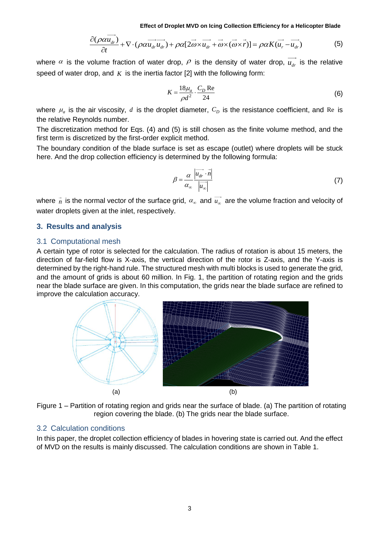$$
\frac{\partial(\rho \alpha u_{dr})}{\partial t} + \nabla \cdot (\rho \alpha \overrightarrow{u_{dr}} \overrightarrow{u_{dr}}) + \rho \alpha [2 \overrightarrow{\omega} \times \overrightarrow{u_{dr}} + \overrightarrow{\omega} \times (\overrightarrow{\omega} \times \overrightarrow{r})] = \rho \alpha K(\overrightarrow{u_r} - \overrightarrow{u_{dr}})
$$
(5)

where  $\alpha$  is the volume fraction of water drop,  $\rho$  is the density of water drop,  $u_{dr}$  is the relative speed of water drop, and  $K$  is the inertia factor [2] with the following form:

$$
K = \frac{18\mu_a}{\rho d^2} \cdot \frac{C_D \operatorname{Re}}{24} \tag{6}
$$

where  $\mu_a$  is the air viscosity,  $d$  is the droplet diameter,  $C_D$  is the resistance coefficient, and Re is the relative Reynolds number.

The discretization method for Eqs. (4) and (5) is still chosen as the finite volume method, and the first term is discretized by the first-order explicit method.

The boundary condition of the blade surface is set as escape (outlet) where droplets will be stuck here. And the drop collection efficiency is determined by the following formula:

$$
\beta = \frac{\alpha}{\alpha_{\infty}} \frac{\left| \overrightarrow{u_{dr}} \cdot \overrightarrow{n} \right|}{\left| \overrightarrow{u_{\infty}} \right|} \tag{7}
$$

where  $\vec{n}$  is the normal vector of the surface grid,  $\alpha_{\infty}$  and  $u_{\infty}$  are the volume fraction and velocity of water droplets given at the inlet, respectively.

# **3. Results and analysis**

## 3.1 Computational mesh

A certain type of rotor is selected for the calculation. The radius of rotation is about 15 meters, the direction of far-field flow is X-axis, the vertical direction of the rotor is Z-axis, and the Y-axis is determined by the right-hand rule. The structured mesh with multi blocks is used to generate the grid, and the amount of grids is about 60 million. In Fig. 1, the partition of rotating region and the grids near the blade surface are given. In this computation, the grids near the blade surface are refined to improve the calculation accuracy.





### 3.2 Calculation conditions

In this paper, the droplet collection efficiency of blades in hovering state is carried out. And the effect of MVD on the results is mainly discussed. The calculation conditions are shown in Table 1.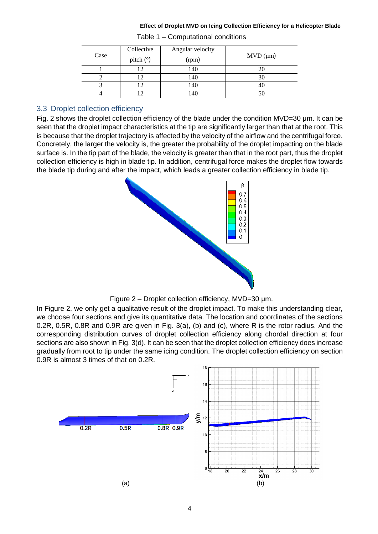| Case | Collective<br>pitch $($ $\degree$ | Angular velocity<br>(rpm) | $MVD$ ( $\mu$ m) |
|------|-----------------------------------|---------------------------|------------------|
|      |                                   | 140                       | 20               |
|      |                                   | 140                       | 30               |
|      |                                   | 140                       | 40               |
|      |                                   | 140                       | 50               |

Table 1 – Computational conditions

## 3.3 Droplet collection efficiency

Fig. 2 shows the droplet collection efficiency of the blade under the condition MVD=30 μm. It can be seen that the droplet impact characteristics at the tip are significantly larger than that at the root. This is because that the droplet trajectory is affected by the velocity of the airflow and the centrifugal force. Concretely, the larger the velocity is, the greater the probability of the droplet impacting on the blade surface is. In the tip part of the blade, the velocity is greater than that in the root part, thus the droplet collection efficiency is high in blade tip. In addition, centrifugal force makes the droplet flow towards the blade tip during and after the impact, which leads a greater collection efficiency in blade tip.





In Figure 2, we only get a qualitative result of the droplet impact. To make this understanding clear, we choose four sections and give its quantitative data. The location and coordinates of the sections 0.2R, 0.5R, 0.8R and 0.9R are given in Fig. 3(a), (b) and (c), where R is the rotor radius. And the corresponding distribution curves of droplet collection efficiency along chordal direction at four sections are also shown in Fig. 3(d). It can be seen that the droplet collection efficiency does increase gradually from root to tip under the same icing condition. The droplet collection efficiency on section 0.9R is almost 3 times of that on 0.2R.

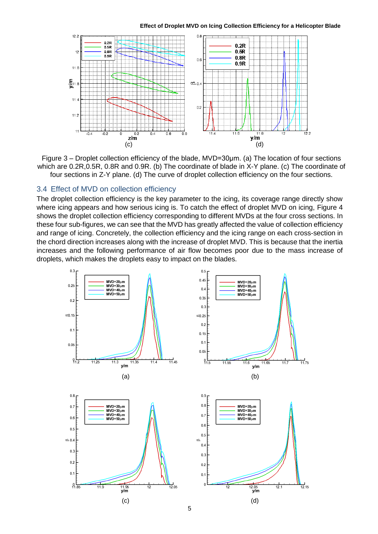

Figure 3 – Droplet collection efficiency of the blade, MVD=30μm. (a) The location of four sections which are 0.2R,0.5R, 0.8R and 0.9R. (b) The coordinate of blade in X-Y plane. (c) The coordinate of four sections in Z-Y plane. (d) The curve of droplet collection efficiency on the four sections.

#### 3.4 Effect of MVD on collection efficiency

The droplet collection efficiency is the key parameter to the icing, its coverage range directly show where icing appears and how serious icing is. To catch the effect of droplet MVD on icing, Figure 4 shows the droplet collection efficiency corresponding to different MVDs at the four cross sections. In these four sub-figures, we can see that the MVD has greatly affected the value of collection efficiency and range of icing. Concretely, the collection efficiency and the icing range on each cross-section in the chord direction increases along with the increase of droplet MVD. This is because that the inertia increases and the following performance of air flow becomes poor due to the mass increase of droplets, which makes the droplets easy to impact on the blades.

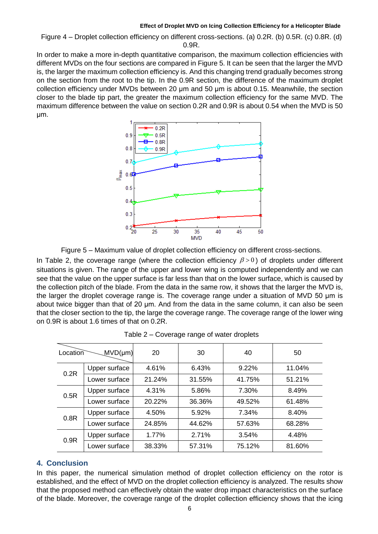Figure 4 – Droplet collection efficiency on different cross-sections. (a) 0.2R. (b) 0.5R. (c) 0.8R. (d) 0.9R.

In order to make a more in-depth quantitative comparison, the maximum collection efficiencies with different MVDs on the four sections are compared in Figure 5. It can be seen that the larger the MVD is, the larger the maximum collection efficiency is. And this changing trend gradually becomes strong on the section from the root to the tip. In the 0.9R section, the difference of the maximum droplet collection efficiency under MVDs between 20 μm and 50 μm is about 0.15. Meanwhile, the section closer to the blade tip part, the greater the maximum collection efficiency for the same MVD. The maximum difference between the value on section 0.2R and 0.9R is about 0.54 when the MVD is 50 μm.



Figure 5 – Maximum value of droplet collection efficiency on different cross-sections.

In Table 2, the coverage range (where the collection efficiency  $\beta > 0$ ) of droplets under different situations is given. The range of the upper and lower wing is computed independently and we can see that the value on the upper surface is far less than that on the lower surface, which is caused by the collection pitch of the blade. From the data in the same row, it shows that the larger the MVD is, the larger the droplet coverage range is. The coverage range under a situation of MVD 50 μm is about twice bigger than that of 20 μm. And from the data in the same column, it can also be seen that the closer section to the tip, the large the coverage range. The coverage range of the lower wing on 0.9R is about 1.6 times of that on 0.2R.

| $MVD(\mu m)$<br>Location |               | 20     | 30     | 40     | 50     |
|--------------------------|---------------|--------|--------|--------|--------|
| 0.2R                     | Upper surface | 4.61%  | 6.43%  | 9.22%  | 11.04% |
|                          | Lower surface | 21.24% | 31.55% | 41.75% | 51.21% |
| 0.5R                     | Upper surface | 4.31%  | 5.86%  | 7.30%  | 8.49%  |
|                          | Lower surface | 20.22% | 36.36% | 49.52% | 61.48% |
| 0.8R                     | Upper surface | 4.50%  | 5.92%  | 7.34%  | 8.40%  |
|                          | Lower surface | 24.85% | 44.62% | 57.63% | 68.28% |
| 0.9R                     | Upper surface | 1.77%  | 2.71%  | 3.54%  | 4.48%  |
|                          | Lower surface | 38.33% | 57.31% | 75.12% | 81.60% |

### **4. Conclusion**

In this paper, the numerical simulation method of droplet collection efficiency on the rotor is established, and the effect of MVD on the droplet collection efficiency is analyzed. The results show that the proposed method can effectively obtain the water drop impact characteristics on the surface of the blade. Moreover, the coverage range of the droplet collection efficiency shows that the icing